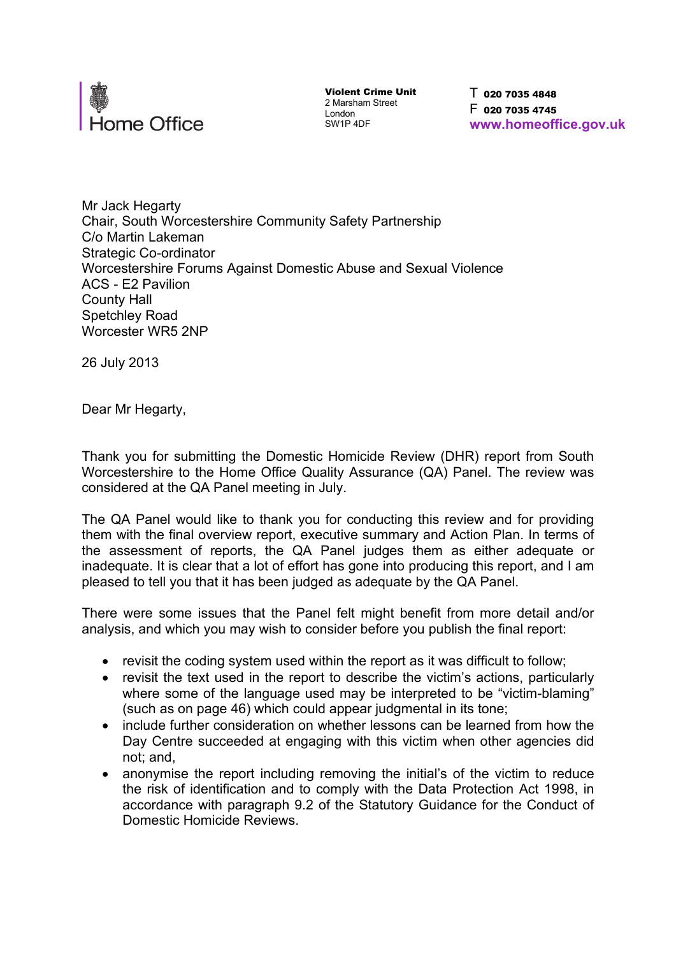

Violent Crime Unit 2 Marsham Street London SW1P 4DF

T 020 7035 4848 F 020 7035 4745 **www.homeoffice.gov.uk**

Mr Jack Hegarty Chair, South Worcestershire Community Safety Partnership C/o Martin Lakeman Strategic Co-ordinator Worcestershire Forums Against Domestic Abuse and Sexual Violence ACS - E2 Pavilion County Hall Spetchley Road Worcester WR5 2NP

26 July 2013

Dear Mr Hegarty,

Thank you for submitting the Domestic Homicide Review (DHR) report from South Worcestershire to the Home Office Quality Assurance (QA) Panel. The review was considered at the QA Panel meeting in July.

The QA Panel would like to thank you for conducting this review and for providing them with the final overview report, executive summary and Action Plan. In terms of the assessment of reports, the QA Panel judges them as either adequate or inadequate. It is clear that a lot of effort has gone into producing this report, and I am pleased to tell you that it has been judged as adequate by the QA Panel.

There were some issues that the Panel felt might benefit from more detail and/or analysis, and which you may wish to consider before you publish the final report:

- revisit the coding system used within the report as it was difficult to follow;
- revisit the text used in the report to describe the victim's actions, particularly where some of the language used may be interpreted to be "victim-blaming" (such as on page 46) which could appear judgmental in its tone;
- include further consideration on whether lessons can be learned from how the Day Centre succeeded at engaging with this victim when other agencies did not; and,
- anonymise the report including removing the initial's of the victim to reduce the risk of identification and to comply with the Data Protection Act 1998, in accordance with paragraph 9.2 of the Statutory Guidance for the Conduct of Domestic Homicide Reviews.